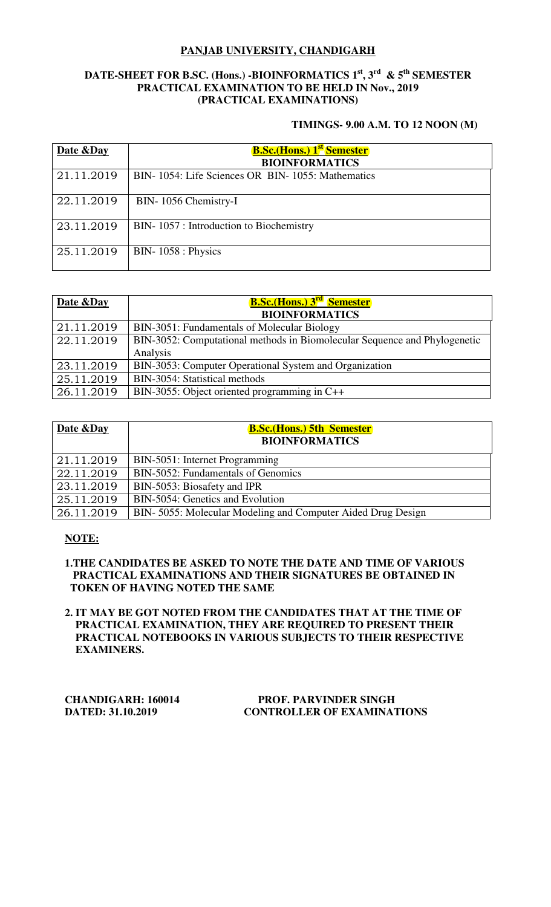# **PANJAB UNIVERSITY, CHANDIGARH**

# **DATE-SHEET FOR B.SC. (Hons.) -BIOINFORMATICS 1st, 3rd & 5th SEMESTER PRACTICAL EXAMINATION TO BE HELD IN Nov., 2019 (PRACTICAL EXAMINATIONS)**

### **TIMINGS- 9.00 A.M. TO 12 NOON (M)**

| Date & Day | <b>B.Sc.</b> (Hons.) 1 <sup>st</sup> Semester<br><b>BIOINFORMATICS</b> |
|------------|------------------------------------------------------------------------|
| 21.11.2019 | BIN-1054: Life Sciences OR BIN-1055: Mathematics                       |
| 22.11.2019 | BIN-1056 Chemistry-I                                                   |
| 23.11.2019 | BIN-1057 : Introduction to Biochemistry                                |
| 25.11.2019 | $BIN-1058: Physics$                                                    |

| Date &Day  | <b>B.Sc.</b> (Hons.) 3 <sup>rd</sup> Semester<br><b>BIOINFORMATICS</b>    |
|------------|---------------------------------------------------------------------------|
| 21.11.2019 | BIN-3051: Fundamentals of Molecular Biology                               |
| 22.11.2019 | BIN-3052: Computational methods in Biomolecular Sequence and Phylogenetic |
|            | Analysis                                                                  |
| 23.11.2019 | BIN-3053: Computer Operational System and Organization                    |
| 25.11.2019 | BIN-3054: Statistical methods                                             |
| 26.11.2019 | BIN-3055: Object oriented programming in C++                              |

| Date & Day | <b>B.Sc.</b> (Hons.) 5th Semester<br><b>BIOINFORMATICS</b>  |
|------------|-------------------------------------------------------------|
| 21.11.2019 | BIN-5051: Internet Programming                              |
| 22.11.2019 | BIN-5052: Fundamentals of Genomics                          |
| 23.11.2019 | BIN-5053: Biosafety and IPR                                 |
| 25.11.2019 | BIN-5054: Genetics and Evolution                            |
| 26.11.2019 | BIN-5055: Molecular Modeling and Computer Aided Drug Design |

# **NOTE:**

### **1.THE CANDIDATES BE ASKED TO NOTE THE DATE AND TIME OF VARIOUS PRACTICAL EXAMINATIONS AND THEIR SIGNATURES BE OBTAINED IN TOKEN OF HAVING NOTED THE SAME**

**2. IT MAY BE GOT NOTED FROM THE CANDIDATES THAT AT THE TIME OF PRACTICAL EXAMINATION, THEY ARE REQUIRED TO PRESENT THEIR PRACTICAL NOTEBOOKS IN VARIOUS SUBJECTS TO THEIR RESPECTIVE EXAMINERS.** 

| <b>CHANDIGARH: 160014</b> |
|---------------------------|
| DATED: 31.10.2019         |

### **PROF. PARVINDER SINGH CONTROLLER OF EXAMINATIONS**